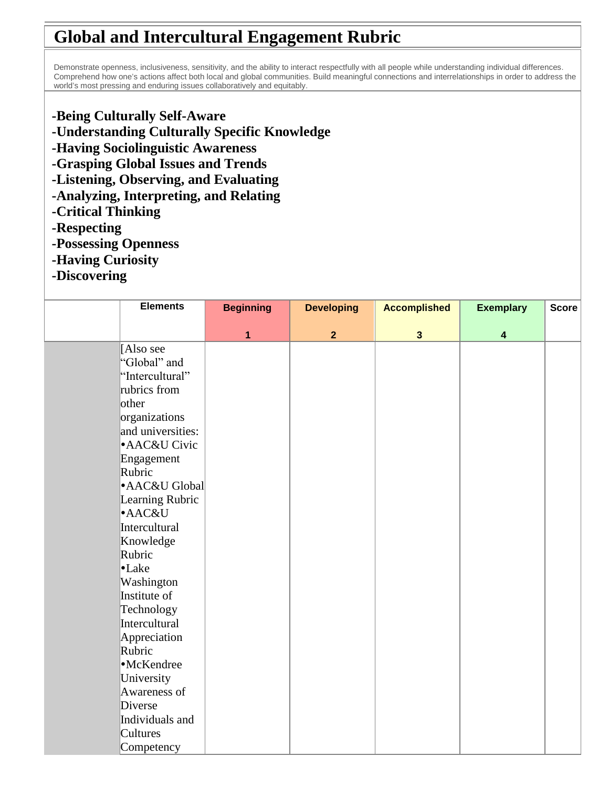## **Global and Intercultural Engagement Rubric**

 Demonstrate openness, inclusiveness, sensitivity, and the ability to interact respectfully with all people while understanding individual differences. Comprehend how one's actions affect both local and global communities. Build meaningful connections and interrelationships in order to address the world's most pressing and enduring issues collaboratively and equitably.

- **-Being Culturally Self-Aware**
- **-Understanding Culturally Specific Knowledge**
- **-Having Sociolinguistic Awareness**
- **-Grasping Global Issues and Trends**
- **-Listening, Observing, and Evaluating**
- **-Analyzing, Interpreting, and Relating**
- **-Critical Thinking**
- **-Respecting**
- **-Possessing Openness**
- **-Having Curiosity**
- **-Discovering**

| <b>Elements</b>   | <b>Beginning</b> | <b>Developing</b> | <b>Accomplished</b> | <b>Exemplary</b>        | <b>Score</b> |
|-------------------|------------------|-------------------|---------------------|-------------------------|--------------|
|                   | 1                | $\overline{2}$    | $\mathbf{3}$        | $\overline{\mathbf{4}}$ |              |
| Also see          |                  |                   |                     |                         |              |
| 'Global" and      |                  |                   |                     |                         |              |
| 'Intercultural"   |                  |                   |                     |                         |              |
| rubrics from      |                  |                   |                     |                         |              |
| other             |                  |                   |                     |                         |              |
| organizations     |                  |                   |                     |                         |              |
| and universities: |                  |                   |                     |                         |              |
| · AAC&U Civic     |                  |                   |                     |                         |              |
| Engagement        |                  |                   |                     |                         |              |
| Rubric            |                  |                   |                     |                         |              |
| · AAC&U Global    |                  |                   |                     |                         |              |
| Learning Rubric   |                  |                   |                     |                         |              |
| ·AAC&U            |                  |                   |                     |                         |              |
| Intercultural     |                  |                   |                     |                         |              |
| Knowledge         |                  |                   |                     |                         |              |
| Rubric            |                  |                   |                     |                         |              |
| $\bullet$ Lake    |                  |                   |                     |                         |              |
| Washington        |                  |                   |                     |                         |              |
| Institute of      |                  |                   |                     |                         |              |
| Technology        |                  |                   |                     |                         |              |
| Intercultural     |                  |                   |                     |                         |              |
| Appreciation      |                  |                   |                     |                         |              |
| Rubric            |                  |                   |                     |                         |              |
| ·McKendree        |                  |                   |                     |                         |              |
| University        |                  |                   |                     |                         |              |
| Awareness of      |                  |                   |                     |                         |              |
| Diverse           |                  |                   |                     |                         |              |
| Individuals and   |                  |                   |                     |                         |              |
| Cultures          |                  |                   |                     |                         |              |
| Competency        |                  |                   |                     |                         |              |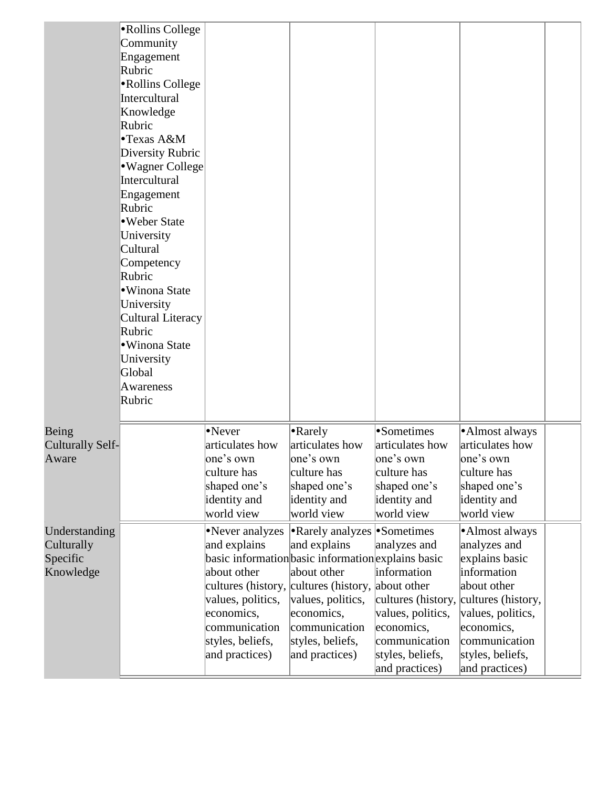|                                                      | •Rollins College<br>Community<br>Engagement<br>Rubric<br>•Rollins College<br>Intercultural<br>Knowledge<br>Rubric<br>•Texas A&M<br>Diversity Rubric<br>•Wagner College<br>Intercultural<br>Engagement<br>Rubric<br>•Weber State<br>University<br>Cultural<br>Competency<br>Rubric<br>· Winona State<br>University<br>Cultural Literacy<br>Rubric<br>• Winona State<br>University<br>Global<br>Awareness<br>Rubric |                                                                                                                                                                                                                                                     |                                                                                                                                                             |                                                                                                                                             |                                                                                                                                                                                                |  |
|------------------------------------------------------|-------------------------------------------------------------------------------------------------------------------------------------------------------------------------------------------------------------------------------------------------------------------------------------------------------------------------------------------------------------------------------------------------------------------|-----------------------------------------------------------------------------------------------------------------------------------------------------------------------------------------------------------------------------------------------------|-------------------------------------------------------------------------------------------------------------------------------------------------------------|---------------------------------------------------------------------------------------------------------------------------------------------|------------------------------------------------------------------------------------------------------------------------------------------------------------------------------------------------|--|
| Being<br><b>Culturally Self-</b><br>Aware            |                                                                                                                                                                                                                                                                                                                                                                                                                   | •Never<br>articulates how<br>one's own<br>culture has<br>shaped one's<br>identity and<br>world view                                                                                                                                                 | •Rarely<br>articulates how<br>one's own<br>culture has<br>shaped one's<br>identity and<br>world view                                                        | •Sometimes<br>articulates how<br>one's own<br>culture has<br>shaped one's<br>identity and<br>world view                                     | ·Almost always<br>articulates how<br>one's own<br>culture has<br>shaped one's<br>identity and<br>world view                                                                                    |  |
| Understanding<br>Culturally<br>Specific<br>Knowledge |                                                                                                                                                                                                                                                                                                                                                                                                                   | •Never analyzes<br>and explains<br>basic information basic information explains basic<br>about other<br>cultures (history, cultures (history, about other<br>values, politics,<br>economics,<br>communication<br>styles, beliefs,<br>and practices) | <b>•Rarely analyzes</b> •Sometimes<br>and explains<br>about other<br>values, politics,<br>economics,<br>communication<br>styles, beliefs,<br>and practices) | analyzes and<br>information<br>cultures (history,<br>values, politics,<br>economics,<br>communication<br>styles, beliefs,<br>and practices) | •Almost always<br>analyzes and<br>explains basic<br>information<br>about other<br>cultures (history,<br>values, politics,<br>economics,<br>communication<br>styles, beliefs,<br>and practices) |  |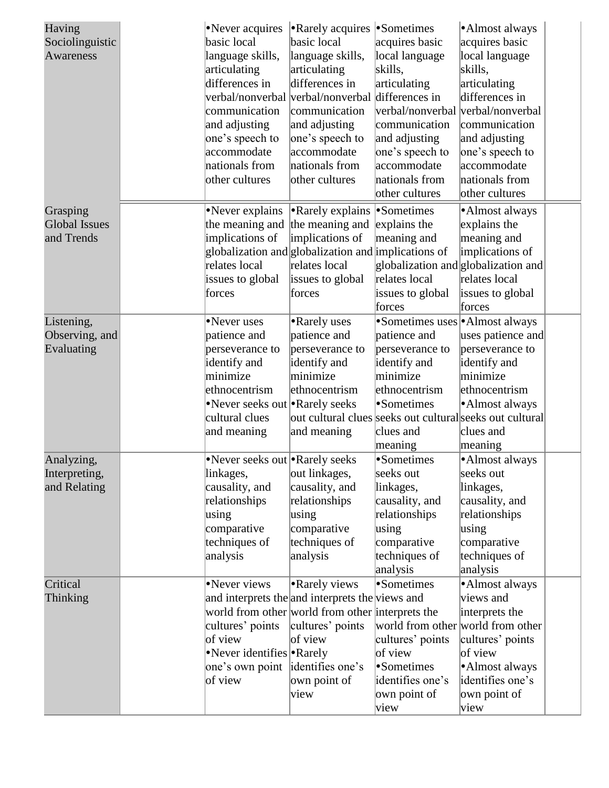| basic local<br>acquires basic<br>Sociolinguistic<br>basic local<br>acquires basic<br>local language<br>Awareness<br>language skills,<br>language skills,<br>local language<br>articulating<br>skills,<br>skills,<br>articulating<br>differences in<br>differences in<br>articulating<br>articulating<br>verbal/nonverbal verbal/nonverbal differences in<br>differences in<br>verbal/nonverbal<br>verbal/nonverbal<br>communication<br>communication<br>and adjusting<br>and adjusting<br>communication<br>communication<br>one's speech to<br>one's speech to<br>and adjusting<br>and adjusting<br>accommodate<br>accommodate<br>one's speech to<br>one's speech to<br>nationals from<br>nationals from<br>accommodate<br>accommodate<br>nationals from<br>nationals from<br>other cultures<br>other cultures<br>other cultures<br>other cultures<br>•Never explains<br>• Rarely explains • Sometimes<br>•Almost always<br>Grasping<br>the meaning and<br><b>Global Issues</b><br>the meaning and<br>explains the<br>explains the<br>implications of<br>implications of<br>and Trends<br>meaning and<br>meaning and<br>globalization and globalization and implications of<br>implications of<br>relates local<br>relates local<br>globalization and globalization and<br>relates local<br>relates local<br>issues to global<br>issues to global<br>issues to global<br>issues to global<br>forces<br>forces<br>forces<br>forces<br>•Never uses<br>•Sometimes uses   Almost always<br>Listening,<br>• Rarely uses<br>patience and<br>patience and<br>Observing, and<br>patience and<br>uses patience and<br>Evaluating<br>perseverance to<br>perseverance to<br>perseverance to<br>perseverance to<br>identify and<br>identify and<br>identify and<br>identify and<br>minimize<br>minimize<br>minimize<br>minimize<br>ethnocentrism<br>ethnocentrism<br>ethnocentrism<br>ethnocentrism<br>•Sometimes<br>•Never seeks out • Rarely seeks<br>•Almost always<br>cultural clues<br>out cultural clues seeks out cultural seeks out cultural<br>and meaning<br>and meaning<br>clues and<br>clues and<br>meaning<br>meaning<br>•Sometimes<br>•Never seeks out • Rarely seeks<br>•Almost always<br>Analyzing,<br>out linkages,<br>seeks out<br>seeks out<br>linkages,<br>Interpreting,<br>and Relating<br>linkages,<br>linkages,<br>causality, and<br>causality, and<br>relationships<br>causality, and<br>causality, and<br>relationships<br>relationships<br>relationships<br>using<br>using<br>comparative<br>comparative<br>using<br>using<br>techniques of<br>techniques of<br>comparative<br>comparative<br>analysis<br>techniques of<br>techniques of<br>analysis<br>analysis<br>analysis<br>•Sometimes<br>• Rarely views<br>Never views<br>·Almost always<br>Critical<br>and interprets the and interprets the views and<br>views and<br><b>Thinking</b><br>world from other world from other interprets the<br>interprets the<br>cultures' points<br>cultures' points<br>world from other world from other<br>of view<br>cultures' points<br>of view<br>cultures' points<br>of view<br>•Never identifies • Rarely<br>of view<br>one's own point identifies one's<br>•Sometimes<br>•Almost always<br>identifies one's<br>of view<br>identifies one's<br>own point of<br>view<br>own point of<br>own point of | Having | •Never acquires | • Rarely acquires • Sometimes |      | •Almost always |  |
|----------------------------------------------------------------------------------------------------------------------------------------------------------------------------------------------------------------------------------------------------------------------------------------------------------------------------------------------------------------------------------------------------------------------------------------------------------------------------------------------------------------------------------------------------------------------------------------------------------------------------------------------------------------------------------------------------------------------------------------------------------------------------------------------------------------------------------------------------------------------------------------------------------------------------------------------------------------------------------------------------------------------------------------------------------------------------------------------------------------------------------------------------------------------------------------------------------------------------------------------------------------------------------------------------------------------------------------------------------------------------------------------------------------------------------------------------------------------------------------------------------------------------------------------------------------------------------------------------------------------------------------------------------------------------------------------------------------------------------------------------------------------------------------------------------------------------------------------------------------------------------------------------------------------------------------------------------------------------------------------------------------------------------------------------------------------------------------------------------------------------------------------------------------------------------------------------------------------------------------------------------------------------------------------------------------------------------------------------------------------------------------------------------------------------------------------------------------------------------------------------------------------------------------------------------------------------------------------------------------------------------------------------------------------------------------------------------------------------------------------------------------------------------------------------------------------------------------------------------------------------------------------------------------------------------------------------------------------------------------------------------------------------------------------------------------------------------------------------------------------------------------------------------------------------------------------------------------------------------------------------------------------------------------------------------------|--------|-----------------|-------------------------------|------|----------------|--|
|                                                                                                                                                                                                                                                                                                                                                                                                                                                                                                                                                                                                                                                                                                                                                                                                                                                                                                                                                                                                                                                                                                                                                                                                                                                                                                                                                                                                                                                                                                                                                                                                                                                                                                                                                                                                                                                                                                                                                                                                                                                                                                                                                                                                                                                                                                                                                                                                                                                                                                                                                                                                                                                                                                                                                                                                                                                                                                                                                                                                                                                                                                                                                                                                                                                                                                                |        |                 |                               |      |                |  |
|                                                                                                                                                                                                                                                                                                                                                                                                                                                                                                                                                                                                                                                                                                                                                                                                                                                                                                                                                                                                                                                                                                                                                                                                                                                                                                                                                                                                                                                                                                                                                                                                                                                                                                                                                                                                                                                                                                                                                                                                                                                                                                                                                                                                                                                                                                                                                                                                                                                                                                                                                                                                                                                                                                                                                                                                                                                                                                                                                                                                                                                                                                                                                                                                                                                                                                                |        |                 |                               |      |                |  |
|                                                                                                                                                                                                                                                                                                                                                                                                                                                                                                                                                                                                                                                                                                                                                                                                                                                                                                                                                                                                                                                                                                                                                                                                                                                                                                                                                                                                                                                                                                                                                                                                                                                                                                                                                                                                                                                                                                                                                                                                                                                                                                                                                                                                                                                                                                                                                                                                                                                                                                                                                                                                                                                                                                                                                                                                                                                                                                                                                                                                                                                                                                                                                                                                                                                                                                                |        |                 |                               |      |                |  |
|                                                                                                                                                                                                                                                                                                                                                                                                                                                                                                                                                                                                                                                                                                                                                                                                                                                                                                                                                                                                                                                                                                                                                                                                                                                                                                                                                                                                                                                                                                                                                                                                                                                                                                                                                                                                                                                                                                                                                                                                                                                                                                                                                                                                                                                                                                                                                                                                                                                                                                                                                                                                                                                                                                                                                                                                                                                                                                                                                                                                                                                                                                                                                                                                                                                                                                                |        |                 |                               |      |                |  |
|                                                                                                                                                                                                                                                                                                                                                                                                                                                                                                                                                                                                                                                                                                                                                                                                                                                                                                                                                                                                                                                                                                                                                                                                                                                                                                                                                                                                                                                                                                                                                                                                                                                                                                                                                                                                                                                                                                                                                                                                                                                                                                                                                                                                                                                                                                                                                                                                                                                                                                                                                                                                                                                                                                                                                                                                                                                                                                                                                                                                                                                                                                                                                                                                                                                                                                                |        |                 |                               |      |                |  |
|                                                                                                                                                                                                                                                                                                                                                                                                                                                                                                                                                                                                                                                                                                                                                                                                                                                                                                                                                                                                                                                                                                                                                                                                                                                                                                                                                                                                                                                                                                                                                                                                                                                                                                                                                                                                                                                                                                                                                                                                                                                                                                                                                                                                                                                                                                                                                                                                                                                                                                                                                                                                                                                                                                                                                                                                                                                                                                                                                                                                                                                                                                                                                                                                                                                                                                                |        |                 |                               |      |                |  |
|                                                                                                                                                                                                                                                                                                                                                                                                                                                                                                                                                                                                                                                                                                                                                                                                                                                                                                                                                                                                                                                                                                                                                                                                                                                                                                                                                                                                                                                                                                                                                                                                                                                                                                                                                                                                                                                                                                                                                                                                                                                                                                                                                                                                                                                                                                                                                                                                                                                                                                                                                                                                                                                                                                                                                                                                                                                                                                                                                                                                                                                                                                                                                                                                                                                                                                                |        |                 |                               |      |                |  |
|                                                                                                                                                                                                                                                                                                                                                                                                                                                                                                                                                                                                                                                                                                                                                                                                                                                                                                                                                                                                                                                                                                                                                                                                                                                                                                                                                                                                                                                                                                                                                                                                                                                                                                                                                                                                                                                                                                                                                                                                                                                                                                                                                                                                                                                                                                                                                                                                                                                                                                                                                                                                                                                                                                                                                                                                                                                                                                                                                                                                                                                                                                                                                                                                                                                                                                                |        |                 |                               |      |                |  |
|                                                                                                                                                                                                                                                                                                                                                                                                                                                                                                                                                                                                                                                                                                                                                                                                                                                                                                                                                                                                                                                                                                                                                                                                                                                                                                                                                                                                                                                                                                                                                                                                                                                                                                                                                                                                                                                                                                                                                                                                                                                                                                                                                                                                                                                                                                                                                                                                                                                                                                                                                                                                                                                                                                                                                                                                                                                                                                                                                                                                                                                                                                                                                                                                                                                                                                                |        |                 |                               |      |                |  |
|                                                                                                                                                                                                                                                                                                                                                                                                                                                                                                                                                                                                                                                                                                                                                                                                                                                                                                                                                                                                                                                                                                                                                                                                                                                                                                                                                                                                                                                                                                                                                                                                                                                                                                                                                                                                                                                                                                                                                                                                                                                                                                                                                                                                                                                                                                                                                                                                                                                                                                                                                                                                                                                                                                                                                                                                                                                                                                                                                                                                                                                                                                                                                                                                                                                                                                                |        |                 |                               |      |                |  |
|                                                                                                                                                                                                                                                                                                                                                                                                                                                                                                                                                                                                                                                                                                                                                                                                                                                                                                                                                                                                                                                                                                                                                                                                                                                                                                                                                                                                                                                                                                                                                                                                                                                                                                                                                                                                                                                                                                                                                                                                                                                                                                                                                                                                                                                                                                                                                                                                                                                                                                                                                                                                                                                                                                                                                                                                                                                                                                                                                                                                                                                                                                                                                                                                                                                                                                                |        |                 |                               |      |                |  |
|                                                                                                                                                                                                                                                                                                                                                                                                                                                                                                                                                                                                                                                                                                                                                                                                                                                                                                                                                                                                                                                                                                                                                                                                                                                                                                                                                                                                                                                                                                                                                                                                                                                                                                                                                                                                                                                                                                                                                                                                                                                                                                                                                                                                                                                                                                                                                                                                                                                                                                                                                                                                                                                                                                                                                                                                                                                                                                                                                                                                                                                                                                                                                                                                                                                                                                                |        |                 |                               |      |                |  |
|                                                                                                                                                                                                                                                                                                                                                                                                                                                                                                                                                                                                                                                                                                                                                                                                                                                                                                                                                                                                                                                                                                                                                                                                                                                                                                                                                                                                                                                                                                                                                                                                                                                                                                                                                                                                                                                                                                                                                                                                                                                                                                                                                                                                                                                                                                                                                                                                                                                                                                                                                                                                                                                                                                                                                                                                                                                                                                                                                                                                                                                                                                                                                                                                                                                                                                                |        |                 |                               |      |                |  |
|                                                                                                                                                                                                                                                                                                                                                                                                                                                                                                                                                                                                                                                                                                                                                                                                                                                                                                                                                                                                                                                                                                                                                                                                                                                                                                                                                                                                                                                                                                                                                                                                                                                                                                                                                                                                                                                                                                                                                                                                                                                                                                                                                                                                                                                                                                                                                                                                                                                                                                                                                                                                                                                                                                                                                                                                                                                                                                                                                                                                                                                                                                                                                                                                                                                                                                                |        |                 |                               |      |                |  |
|                                                                                                                                                                                                                                                                                                                                                                                                                                                                                                                                                                                                                                                                                                                                                                                                                                                                                                                                                                                                                                                                                                                                                                                                                                                                                                                                                                                                                                                                                                                                                                                                                                                                                                                                                                                                                                                                                                                                                                                                                                                                                                                                                                                                                                                                                                                                                                                                                                                                                                                                                                                                                                                                                                                                                                                                                                                                                                                                                                                                                                                                                                                                                                                                                                                                                                                |        |                 |                               |      |                |  |
|                                                                                                                                                                                                                                                                                                                                                                                                                                                                                                                                                                                                                                                                                                                                                                                                                                                                                                                                                                                                                                                                                                                                                                                                                                                                                                                                                                                                                                                                                                                                                                                                                                                                                                                                                                                                                                                                                                                                                                                                                                                                                                                                                                                                                                                                                                                                                                                                                                                                                                                                                                                                                                                                                                                                                                                                                                                                                                                                                                                                                                                                                                                                                                                                                                                                                                                |        |                 |                               |      |                |  |
|                                                                                                                                                                                                                                                                                                                                                                                                                                                                                                                                                                                                                                                                                                                                                                                                                                                                                                                                                                                                                                                                                                                                                                                                                                                                                                                                                                                                                                                                                                                                                                                                                                                                                                                                                                                                                                                                                                                                                                                                                                                                                                                                                                                                                                                                                                                                                                                                                                                                                                                                                                                                                                                                                                                                                                                                                                                                                                                                                                                                                                                                                                                                                                                                                                                                                                                |        |                 |                               |      |                |  |
|                                                                                                                                                                                                                                                                                                                                                                                                                                                                                                                                                                                                                                                                                                                                                                                                                                                                                                                                                                                                                                                                                                                                                                                                                                                                                                                                                                                                                                                                                                                                                                                                                                                                                                                                                                                                                                                                                                                                                                                                                                                                                                                                                                                                                                                                                                                                                                                                                                                                                                                                                                                                                                                                                                                                                                                                                                                                                                                                                                                                                                                                                                                                                                                                                                                                                                                |        |                 |                               |      |                |  |
|                                                                                                                                                                                                                                                                                                                                                                                                                                                                                                                                                                                                                                                                                                                                                                                                                                                                                                                                                                                                                                                                                                                                                                                                                                                                                                                                                                                                                                                                                                                                                                                                                                                                                                                                                                                                                                                                                                                                                                                                                                                                                                                                                                                                                                                                                                                                                                                                                                                                                                                                                                                                                                                                                                                                                                                                                                                                                                                                                                                                                                                                                                                                                                                                                                                                                                                |        |                 |                               |      |                |  |
|                                                                                                                                                                                                                                                                                                                                                                                                                                                                                                                                                                                                                                                                                                                                                                                                                                                                                                                                                                                                                                                                                                                                                                                                                                                                                                                                                                                                                                                                                                                                                                                                                                                                                                                                                                                                                                                                                                                                                                                                                                                                                                                                                                                                                                                                                                                                                                                                                                                                                                                                                                                                                                                                                                                                                                                                                                                                                                                                                                                                                                                                                                                                                                                                                                                                                                                |        |                 |                               |      |                |  |
|                                                                                                                                                                                                                                                                                                                                                                                                                                                                                                                                                                                                                                                                                                                                                                                                                                                                                                                                                                                                                                                                                                                                                                                                                                                                                                                                                                                                                                                                                                                                                                                                                                                                                                                                                                                                                                                                                                                                                                                                                                                                                                                                                                                                                                                                                                                                                                                                                                                                                                                                                                                                                                                                                                                                                                                                                                                                                                                                                                                                                                                                                                                                                                                                                                                                                                                |        |                 |                               |      |                |  |
|                                                                                                                                                                                                                                                                                                                                                                                                                                                                                                                                                                                                                                                                                                                                                                                                                                                                                                                                                                                                                                                                                                                                                                                                                                                                                                                                                                                                                                                                                                                                                                                                                                                                                                                                                                                                                                                                                                                                                                                                                                                                                                                                                                                                                                                                                                                                                                                                                                                                                                                                                                                                                                                                                                                                                                                                                                                                                                                                                                                                                                                                                                                                                                                                                                                                                                                |        |                 |                               |      |                |  |
|                                                                                                                                                                                                                                                                                                                                                                                                                                                                                                                                                                                                                                                                                                                                                                                                                                                                                                                                                                                                                                                                                                                                                                                                                                                                                                                                                                                                                                                                                                                                                                                                                                                                                                                                                                                                                                                                                                                                                                                                                                                                                                                                                                                                                                                                                                                                                                                                                                                                                                                                                                                                                                                                                                                                                                                                                                                                                                                                                                                                                                                                                                                                                                                                                                                                                                                |        |                 |                               |      |                |  |
|                                                                                                                                                                                                                                                                                                                                                                                                                                                                                                                                                                                                                                                                                                                                                                                                                                                                                                                                                                                                                                                                                                                                                                                                                                                                                                                                                                                                                                                                                                                                                                                                                                                                                                                                                                                                                                                                                                                                                                                                                                                                                                                                                                                                                                                                                                                                                                                                                                                                                                                                                                                                                                                                                                                                                                                                                                                                                                                                                                                                                                                                                                                                                                                                                                                                                                                |        |                 |                               |      |                |  |
|                                                                                                                                                                                                                                                                                                                                                                                                                                                                                                                                                                                                                                                                                                                                                                                                                                                                                                                                                                                                                                                                                                                                                                                                                                                                                                                                                                                                                                                                                                                                                                                                                                                                                                                                                                                                                                                                                                                                                                                                                                                                                                                                                                                                                                                                                                                                                                                                                                                                                                                                                                                                                                                                                                                                                                                                                                                                                                                                                                                                                                                                                                                                                                                                                                                                                                                |        |                 |                               |      |                |  |
|                                                                                                                                                                                                                                                                                                                                                                                                                                                                                                                                                                                                                                                                                                                                                                                                                                                                                                                                                                                                                                                                                                                                                                                                                                                                                                                                                                                                                                                                                                                                                                                                                                                                                                                                                                                                                                                                                                                                                                                                                                                                                                                                                                                                                                                                                                                                                                                                                                                                                                                                                                                                                                                                                                                                                                                                                                                                                                                                                                                                                                                                                                                                                                                                                                                                                                                |        |                 |                               |      |                |  |
|                                                                                                                                                                                                                                                                                                                                                                                                                                                                                                                                                                                                                                                                                                                                                                                                                                                                                                                                                                                                                                                                                                                                                                                                                                                                                                                                                                                                                                                                                                                                                                                                                                                                                                                                                                                                                                                                                                                                                                                                                                                                                                                                                                                                                                                                                                                                                                                                                                                                                                                                                                                                                                                                                                                                                                                                                                                                                                                                                                                                                                                                                                                                                                                                                                                                                                                |        |                 |                               |      |                |  |
|                                                                                                                                                                                                                                                                                                                                                                                                                                                                                                                                                                                                                                                                                                                                                                                                                                                                                                                                                                                                                                                                                                                                                                                                                                                                                                                                                                                                                                                                                                                                                                                                                                                                                                                                                                                                                                                                                                                                                                                                                                                                                                                                                                                                                                                                                                                                                                                                                                                                                                                                                                                                                                                                                                                                                                                                                                                                                                                                                                                                                                                                                                                                                                                                                                                                                                                |        |                 |                               |      |                |  |
|                                                                                                                                                                                                                                                                                                                                                                                                                                                                                                                                                                                                                                                                                                                                                                                                                                                                                                                                                                                                                                                                                                                                                                                                                                                                                                                                                                                                                                                                                                                                                                                                                                                                                                                                                                                                                                                                                                                                                                                                                                                                                                                                                                                                                                                                                                                                                                                                                                                                                                                                                                                                                                                                                                                                                                                                                                                                                                                                                                                                                                                                                                                                                                                                                                                                                                                |        |                 |                               |      |                |  |
|                                                                                                                                                                                                                                                                                                                                                                                                                                                                                                                                                                                                                                                                                                                                                                                                                                                                                                                                                                                                                                                                                                                                                                                                                                                                                                                                                                                                                                                                                                                                                                                                                                                                                                                                                                                                                                                                                                                                                                                                                                                                                                                                                                                                                                                                                                                                                                                                                                                                                                                                                                                                                                                                                                                                                                                                                                                                                                                                                                                                                                                                                                                                                                                                                                                                                                                |        |                 |                               |      |                |  |
|                                                                                                                                                                                                                                                                                                                                                                                                                                                                                                                                                                                                                                                                                                                                                                                                                                                                                                                                                                                                                                                                                                                                                                                                                                                                                                                                                                                                                                                                                                                                                                                                                                                                                                                                                                                                                                                                                                                                                                                                                                                                                                                                                                                                                                                                                                                                                                                                                                                                                                                                                                                                                                                                                                                                                                                                                                                                                                                                                                                                                                                                                                                                                                                                                                                                                                                |        |                 |                               |      |                |  |
|                                                                                                                                                                                                                                                                                                                                                                                                                                                                                                                                                                                                                                                                                                                                                                                                                                                                                                                                                                                                                                                                                                                                                                                                                                                                                                                                                                                                                                                                                                                                                                                                                                                                                                                                                                                                                                                                                                                                                                                                                                                                                                                                                                                                                                                                                                                                                                                                                                                                                                                                                                                                                                                                                                                                                                                                                                                                                                                                                                                                                                                                                                                                                                                                                                                                                                                |        |                 |                               |      |                |  |
|                                                                                                                                                                                                                                                                                                                                                                                                                                                                                                                                                                                                                                                                                                                                                                                                                                                                                                                                                                                                                                                                                                                                                                                                                                                                                                                                                                                                                                                                                                                                                                                                                                                                                                                                                                                                                                                                                                                                                                                                                                                                                                                                                                                                                                                                                                                                                                                                                                                                                                                                                                                                                                                                                                                                                                                                                                                                                                                                                                                                                                                                                                                                                                                                                                                                                                                |        |                 |                               |      |                |  |
|                                                                                                                                                                                                                                                                                                                                                                                                                                                                                                                                                                                                                                                                                                                                                                                                                                                                                                                                                                                                                                                                                                                                                                                                                                                                                                                                                                                                                                                                                                                                                                                                                                                                                                                                                                                                                                                                                                                                                                                                                                                                                                                                                                                                                                                                                                                                                                                                                                                                                                                                                                                                                                                                                                                                                                                                                                                                                                                                                                                                                                                                                                                                                                                                                                                                                                                |        |                 |                               |      |                |  |
|                                                                                                                                                                                                                                                                                                                                                                                                                                                                                                                                                                                                                                                                                                                                                                                                                                                                                                                                                                                                                                                                                                                                                                                                                                                                                                                                                                                                                                                                                                                                                                                                                                                                                                                                                                                                                                                                                                                                                                                                                                                                                                                                                                                                                                                                                                                                                                                                                                                                                                                                                                                                                                                                                                                                                                                                                                                                                                                                                                                                                                                                                                                                                                                                                                                                                                                |        |                 |                               |      |                |  |
|                                                                                                                                                                                                                                                                                                                                                                                                                                                                                                                                                                                                                                                                                                                                                                                                                                                                                                                                                                                                                                                                                                                                                                                                                                                                                                                                                                                                                                                                                                                                                                                                                                                                                                                                                                                                                                                                                                                                                                                                                                                                                                                                                                                                                                                                                                                                                                                                                                                                                                                                                                                                                                                                                                                                                                                                                                                                                                                                                                                                                                                                                                                                                                                                                                                                                                                |        |                 |                               |      |                |  |
|                                                                                                                                                                                                                                                                                                                                                                                                                                                                                                                                                                                                                                                                                                                                                                                                                                                                                                                                                                                                                                                                                                                                                                                                                                                                                                                                                                                                                                                                                                                                                                                                                                                                                                                                                                                                                                                                                                                                                                                                                                                                                                                                                                                                                                                                                                                                                                                                                                                                                                                                                                                                                                                                                                                                                                                                                                                                                                                                                                                                                                                                                                                                                                                                                                                                                                                |        |                 |                               |      |                |  |
|                                                                                                                                                                                                                                                                                                                                                                                                                                                                                                                                                                                                                                                                                                                                                                                                                                                                                                                                                                                                                                                                                                                                                                                                                                                                                                                                                                                                                                                                                                                                                                                                                                                                                                                                                                                                                                                                                                                                                                                                                                                                                                                                                                                                                                                                                                                                                                                                                                                                                                                                                                                                                                                                                                                                                                                                                                                                                                                                                                                                                                                                                                                                                                                                                                                                                                                |        |                 |                               |      |                |  |
|                                                                                                                                                                                                                                                                                                                                                                                                                                                                                                                                                                                                                                                                                                                                                                                                                                                                                                                                                                                                                                                                                                                                                                                                                                                                                                                                                                                                                                                                                                                                                                                                                                                                                                                                                                                                                                                                                                                                                                                                                                                                                                                                                                                                                                                                                                                                                                                                                                                                                                                                                                                                                                                                                                                                                                                                                                                                                                                                                                                                                                                                                                                                                                                                                                                                                                                |        |                 |                               |      |                |  |
|                                                                                                                                                                                                                                                                                                                                                                                                                                                                                                                                                                                                                                                                                                                                                                                                                                                                                                                                                                                                                                                                                                                                                                                                                                                                                                                                                                                                                                                                                                                                                                                                                                                                                                                                                                                                                                                                                                                                                                                                                                                                                                                                                                                                                                                                                                                                                                                                                                                                                                                                                                                                                                                                                                                                                                                                                                                                                                                                                                                                                                                                                                                                                                                                                                                                                                                |        |                 |                               |      |                |  |
|                                                                                                                                                                                                                                                                                                                                                                                                                                                                                                                                                                                                                                                                                                                                                                                                                                                                                                                                                                                                                                                                                                                                                                                                                                                                                                                                                                                                                                                                                                                                                                                                                                                                                                                                                                                                                                                                                                                                                                                                                                                                                                                                                                                                                                                                                                                                                                                                                                                                                                                                                                                                                                                                                                                                                                                                                                                                                                                                                                                                                                                                                                                                                                                                                                                                                                                |        |                 |                               |      |                |  |
|                                                                                                                                                                                                                                                                                                                                                                                                                                                                                                                                                                                                                                                                                                                                                                                                                                                                                                                                                                                                                                                                                                                                                                                                                                                                                                                                                                                                                                                                                                                                                                                                                                                                                                                                                                                                                                                                                                                                                                                                                                                                                                                                                                                                                                                                                                                                                                                                                                                                                                                                                                                                                                                                                                                                                                                                                                                                                                                                                                                                                                                                                                                                                                                                                                                                                                                |        |                 |                               |      |                |  |
|                                                                                                                                                                                                                                                                                                                                                                                                                                                                                                                                                                                                                                                                                                                                                                                                                                                                                                                                                                                                                                                                                                                                                                                                                                                                                                                                                                                                                                                                                                                                                                                                                                                                                                                                                                                                                                                                                                                                                                                                                                                                                                                                                                                                                                                                                                                                                                                                                                                                                                                                                                                                                                                                                                                                                                                                                                                                                                                                                                                                                                                                                                                                                                                                                                                                                                                |        |                 |                               |      |                |  |
|                                                                                                                                                                                                                                                                                                                                                                                                                                                                                                                                                                                                                                                                                                                                                                                                                                                                                                                                                                                                                                                                                                                                                                                                                                                                                                                                                                                                                                                                                                                                                                                                                                                                                                                                                                                                                                                                                                                                                                                                                                                                                                                                                                                                                                                                                                                                                                                                                                                                                                                                                                                                                                                                                                                                                                                                                                                                                                                                                                                                                                                                                                                                                                                                                                                                                                                |        |                 |                               |      |                |  |
|                                                                                                                                                                                                                                                                                                                                                                                                                                                                                                                                                                                                                                                                                                                                                                                                                                                                                                                                                                                                                                                                                                                                                                                                                                                                                                                                                                                                                                                                                                                                                                                                                                                                                                                                                                                                                                                                                                                                                                                                                                                                                                                                                                                                                                                                                                                                                                                                                                                                                                                                                                                                                                                                                                                                                                                                                                                                                                                                                                                                                                                                                                                                                                                                                                                                                                                |        |                 |                               |      |                |  |
|                                                                                                                                                                                                                                                                                                                                                                                                                                                                                                                                                                                                                                                                                                                                                                                                                                                                                                                                                                                                                                                                                                                                                                                                                                                                                                                                                                                                                                                                                                                                                                                                                                                                                                                                                                                                                                                                                                                                                                                                                                                                                                                                                                                                                                                                                                                                                                                                                                                                                                                                                                                                                                                                                                                                                                                                                                                                                                                                                                                                                                                                                                                                                                                                                                                                                                                |        |                 |                               |      |                |  |
|                                                                                                                                                                                                                                                                                                                                                                                                                                                                                                                                                                                                                                                                                                                                                                                                                                                                                                                                                                                                                                                                                                                                                                                                                                                                                                                                                                                                                                                                                                                                                                                                                                                                                                                                                                                                                                                                                                                                                                                                                                                                                                                                                                                                                                                                                                                                                                                                                                                                                                                                                                                                                                                                                                                                                                                                                                                                                                                                                                                                                                                                                                                                                                                                                                                                                                                |        |                 |                               |      |                |  |
|                                                                                                                                                                                                                                                                                                                                                                                                                                                                                                                                                                                                                                                                                                                                                                                                                                                                                                                                                                                                                                                                                                                                                                                                                                                                                                                                                                                                                                                                                                                                                                                                                                                                                                                                                                                                                                                                                                                                                                                                                                                                                                                                                                                                                                                                                                                                                                                                                                                                                                                                                                                                                                                                                                                                                                                                                                                                                                                                                                                                                                                                                                                                                                                                                                                                                                                |        |                 |                               |      |                |  |
|                                                                                                                                                                                                                                                                                                                                                                                                                                                                                                                                                                                                                                                                                                                                                                                                                                                                                                                                                                                                                                                                                                                                                                                                                                                                                                                                                                                                                                                                                                                                                                                                                                                                                                                                                                                                                                                                                                                                                                                                                                                                                                                                                                                                                                                                                                                                                                                                                                                                                                                                                                                                                                                                                                                                                                                                                                                                                                                                                                                                                                                                                                                                                                                                                                                                                                                |        |                 |                               | view | view           |  |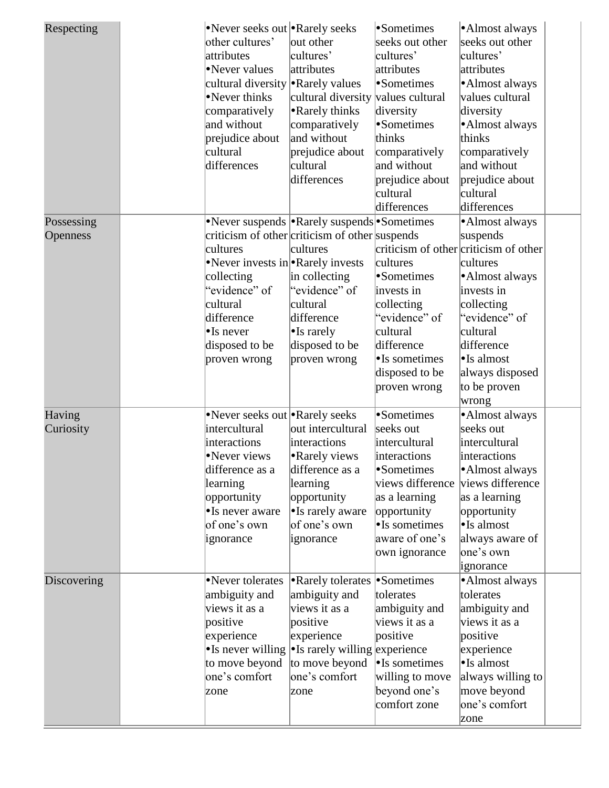| Respecting      |          |                    | •Never seeks out • Rarely seeks                         | •Sometimes       | •Almost always                        |  |
|-----------------|----------|--------------------|---------------------------------------------------------|------------------|---------------------------------------|--|
|                 |          | other cultures'    | out other                                               | seeks out other  | seeks out other                       |  |
|                 |          | attributes         | cultures'                                               | cultures'        | cultures'                             |  |
|                 |          | •Never values      | attributes                                              | attributes       | attributes                            |  |
|                 |          | cultural diversity | • Rarely values                                         | •Sometimes       | ·Almost always                        |  |
|                 |          | •Never thinks      | cultural diversity values cultural                      |                  | values cultural                       |  |
|                 |          | comparatively      | • Rarely thinks                                         | diversity        | diversity                             |  |
|                 |          | and without        | comparatively                                           | •Sometimes       | ·Almost always                        |  |
|                 |          | prejudice about    | and without                                             | thinks           | thinks                                |  |
|                 | cultural |                    | prejudice about                                         | comparatively    | comparatively                         |  |
|                 |          | differences        | cultural                                                | and without      | and without                           |  |
|                 |          |                    | differences                                             | prejudice about  | prejudice about                       |  |
|                 |          |                    |                                                         | cultural         | cultural                              |  |
|                 |          |                    |                                                         | differences      | differences                           |  |
| Possessing      |          |                    | •Never suspends  •Rarely suspends •Sometimes            |                  | •Almost always                        |  |
| <b>Openness</b> |          |                    | criticism of other criticism of other suspends          |                  | suspends                              |  |
|                 | cultures |                    | cultures                                                |                  | criticism of other criticism of other |  |
|                 |          |                    | •Never invests in •Rarely invests                       | cultures         | cultures                              |  |
|                 |          | collecting         | in collecting                                           | •Sometimes       | • Almost always                       |  |
|                 |          | "evidence" of      | "evidence" of                                           | invests in       | invests in                            |  |
|                 | cultural |                    | cultural                                                | collecting       | collecting                            |  |
|                 |          | difference         | difference                                              | "evidence" of    | "evidence" of                         |  |
|                 |          | $\bullet$ Is never | $\bullet$ Is rarely                                     | cultural         | cultural                              |  |
|                 |          | disposed to be     | disposed to be                                          | difference       | difference                            |  |
|                 |          | proven wrong       | proven wrong                                            | •Is sometimes    | $\bullet$ Is almost                   |  |
|                 |          |                    |                                                         | disposed to be   | always disposed                       |  |
|                 |          |                    |                                                         | proven wrong     | to be proven                          |  |
|                 |          |                    |                                                         |                  | wrong                                 |  |
| Having          |          |                    | •Never seeks out • Rarely seeks                         | •Sometimes       | ·Almost always                        |  |
| Curiosity       |          | intercultural      | out intercultural                                       | seeks out        | seeks out                             |  |
|                 |          | interactions       | interactions                                            | intercultural    | intercultural                         |  |
|                 |          | Never views        | • Rarely views                                          | interactions     | interactions                          |  |
|                 |          | difference as a    | difference as a                                         | •Sometimes       | •Almost always                        |  |
|                 |          | learning           | learning                                                | views difference | views difference                      |  |
|                 |          | opportunity        | opportunity                                             | as a learning    | as a learning                         |  |
|                 |          | •Is never aware    | • Is rarely aware                                       | opportunity      | opportunity                           |  |
|                 |          | of one's own       | of one's own                                            | •Is sometimes    | $\bullet$ Is almost                   |  |
|                 |          | ignorance          | ignorance                                               | aware of one's   | always aware of                       |  |
|                 |          |                    |                                                         | own ignorance    | one's own                             |  |
|                 |          |                    |                                                         |                  | ignorance                             |  |
| Discovering     |          | •Never tolerates   | • Rarely tolerates • Sometimes                          |                  | ·Almost always                        |  |
|                 |          | ambiguity and      | ambiguity and                                           | tolerates        | tolerates                             |  |
|                 |          | views it as a      | views it as a                                           | ambiguity and    | ambiguity and                         |  |
|                 | positive |                    | positive                                                | views it as a    | views it as a                         |  |
|                 |          | experience         | experience                                              | positive         | positive                              |  |
|                 |          |                    | • Is never willing $\cdot$ Is rarely willing experience |                  | experience                            |  |
|                 |          | to move beyond     | to move beyond                                          | • Is sometimes   | $\bullet$ Is almost                   |  |
|                 |          | one's comfort      | one's comfort                                           | willing to move  | always willing to                     |  |
|                 | zone     |                    | zone                                                    | beyond one's     | move beyond                           |  |
|                 |          |                    |                                                         | comfort zone     | one's comfort                         |  |
|                 |          |                    |                                                         |                  | zone                                  |  |